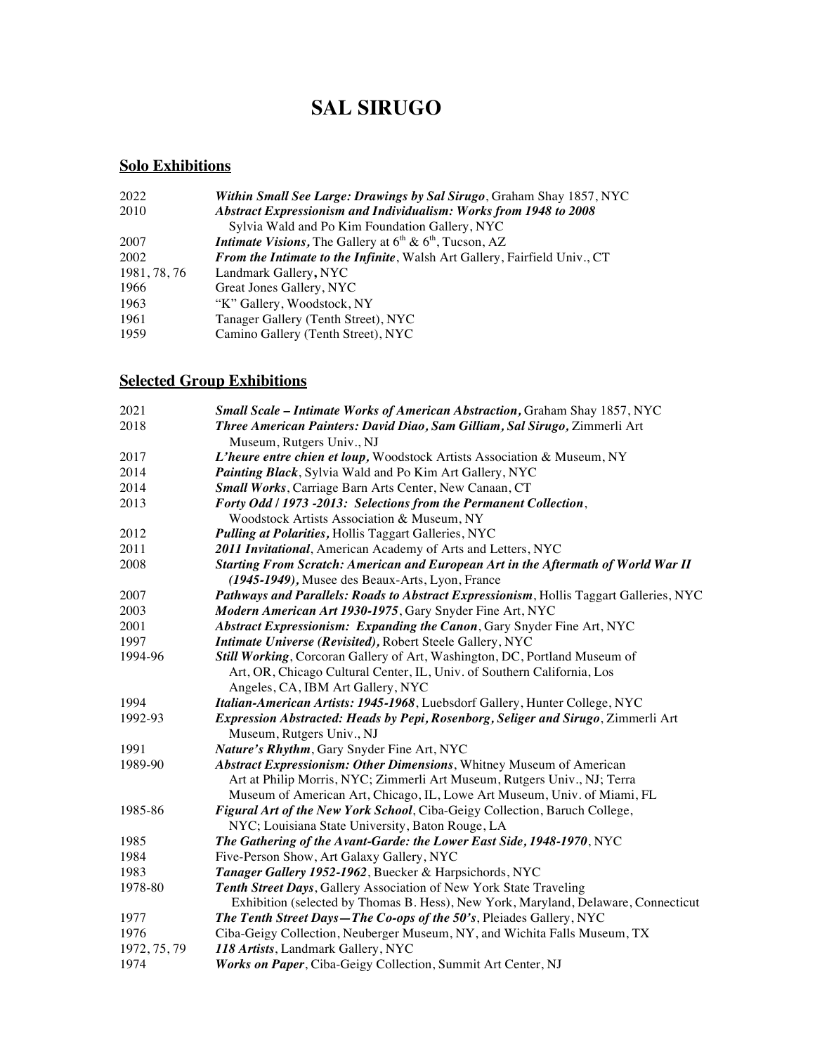# **SAL SIRUGO**

## **Solo Exhibitions**

| 2022         | Within Small See Large: Drawings by Sal Sirugo, Graham Shay 1857, NYC                       |
|--------------|---------------------------------------------------------------------------------------------|
| 2010         | <b>Abstract Expressionism and Individualism: Works from 1948 to 2008</b>                    |
|              | Sylvia Wald and Po Kim Foundation Gallery, NYC                                              |
| 2007         | <b>Intimate Visions, The Gallery at <math>6th</math> &amp; <math>6th</math>, Tucson, AZ</b> |
| 2002         | From the Intimate to the Infinite, Walsh Art Gallery, Fairfield Univ., CT                   |
| 1981, 78, 76 | Landmark Gallery, NYC                                                                       |
| 1966         | Great Jones Gallery, NYC                                                                    |
| 1963         | "K" Gallery, Woodstock, NY                                                                  |
| 1961         | Tanager Gallery (Tenth Street), NYC                                                         |
| 1959         | Camino Gallery (Tenth Street), NYC                                                          |

## **Selected Group Exhibitions**

| 2021         | Small Scale - Intimate Works of American Abstraction, Graham Shay 1857, NYC            |
|--------------|----------------------------------------------------------------------------------------|
| 2018         | Three American Painters: David Diao, Sam Gilliam, Sal Sirugo, Zimmerli Art             |
|              | Museum, Rutgers Univ., NJ                                                              |
| 2017         | L'heure entre chien et loup, Woodstock Artists Association & Museum, NY                |
| 2014         | Painting Black, Sylvia Wald and Po Kim Art Gallery, NYC                                |
| 2014         | Small Works, Carriage Barn Arts Center, New Canaan, CT                                 |
| 2013         | Forty Odd / 1973 -2013: Selections from the Permanent Collection,                      |
|              | Woodstock Artists Association & Museum, NY                                             |
| 2012         | Pulling at Polarities, Hollis Taggart Galleries, NYC                                   |
| 2011         | 2011 Invitational, American Academy of Arts and Letters, NYC                           |
| 2008         | Starting From Scratch: American and European Art in the Aftermath of World War II      |
|              | (1945-1949), Musee des Beaux-Arts, Lyon, France                                        |
| 2007         | Pathways and Parallels: Roads to Abstract Expressionism, Hollis Taggart Galleries, NYC |
| 2003         | Modern American Art 1930-1975, Gary Snyder Fine Art, NYC                               |
| 2001         | Abstract Expressionism: Expanding the Canon, Gary Snyder Fine Art, NYC                 |
| 1997         | Intimate Universe (Revisited), Robert Steele Gallery, NYC                              |
| 1994-96      | Still Working, Corcoran Gallery of Art, Washington, DC, Portland Museum of             |
|              | Art, OR, Chicago Cultural Center, IL, Univ. of Southern California, Los                |
|              | Angeles, CA, IBM Art Gallery, NYC                                                      |
| 1994         | Italian-American Artists: 1945-1968, Luebsdorf Gallery, Hunter College, NYC            |
| 1992-93      | Expression Abstracted: Heads by Pepi, Rosenborg, Seliger and Sirugo, Zimmerli Art      |
|              | Museum, Rutgers Univ., NJ                                                              |
| 1991         | Nature's Rhythm, Gary Snyder Fine Art, NYC                                             |
| 1989-90      | Abstract Expressionism: Other Dimensions, Whitney Museum of American                   |
|              | Art at Philip Morris, NYC; Zimmerli Art Museum, Rutgers Univ., NJ; Terra               |
|              | Museum of American Art, Chicago, IL, Lowe Art Museum, Univ. of Miami, FL               |
| 1985-86      | Figural Art of the New York School, Ciba-Geigy Collection, Baruch College,             |
|              | NYC; Louisiana State University, Baton Rouge, LA                                       |
| 1985         | The Gathering of the Avant-Garde: the Lower East Side, 1948-1970, NYC                  |
| 1984         | Five-Person Show, Art Galaxy Gallery, NYC                                              |
| 1983         | Tanager Gallery 1952-1962, Buecker & Harpsichords, NYC                                 |
| 1978-80      | Tenth Street Days, Gallery Association of New York State Traveling                     |
|              | Exhibition (selected by Thomas B. Hess), New York, Maryland, Delaware, Connecticut     |
| 1977         | The Tenth Street Days-The Co-ops of the 50's, Pleiades Gallery, NYC                    |
| 1976         | Ciba-Geigy Collection, Neuberger Museum, NY, and Wichita Falls Museum, TX              |
| 1972, 75, 79 | 118 Artists, Landmark Gallery, NYC                                                     |
| 1974         | Works on Paper, Ciba-Geigy Collection, Summit Art Center, NJ                           |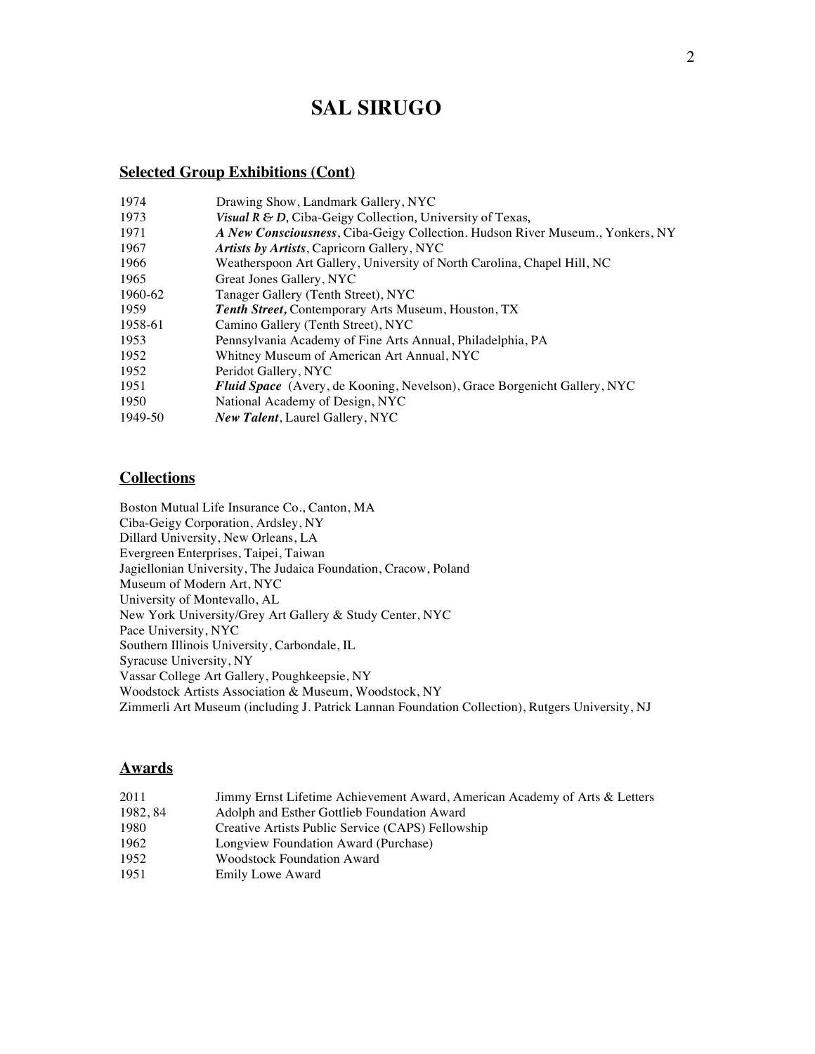## **SAL SIRUGO**

### **Selected Group Exhibitions (Cont)**

| 1974    | Drawing Show, Landmark Gallery, NYC                                           |
|---------|-------------------------------------------------------------------------------|
| 1973    | Visual R & D, Ciba-Geigy Collection, University of Texas,                     |
| 1971    | A New Consciousness, Ciba-Geigy Collection. Hudson River Museum., Yonkers, NY |
| 1967    | <i>Artists by Artists, Capricorn Gallery, NYC</i>                             |
| 1966    | Weatherspoon Art Gallery, University of North Carolina, Chapel Hill, NC       |
| 1965    | Great Jones Gallery, NYC                                                      |
| 1960-62 | Tanager Gallery (Tenth Street), NYC                                           |
| 1959    | Tenth Street, Contemporary Arts Museum, Houston, TX                           |
| 1958-61 | Camino Gallery (Tenth Street), NYC                                            |
| 1953    | Pennsylvania Academy of Fine Arts Annual, Philadelphia, PA                    |
| 1952    | Whitney Museum of American Art Annual, NYC                                    |
| 1952    | Peridot Gallery, NYC                                                          |
| 1951    | Fluid Space (Avery, de Kooning, Nevelson), Grace Borgenicht Gallery, NYC      |
| 1950    | National Academy of Design, NYC                                               |
| 1949-50 | New Talent, Laurel Gallery, NYC                                               |

## **Collections**

Boston Mutual Life Insurance Co., Canton, MA Ciba-Geigy Corporation, Ardsley, NY Dillard University, New Orleans, LA Evergreen Enterprises, Taipei, Taiwan Jagiellonian University, The Judaica Foundation, Cracow, Poland Museum of Modern Art, NYC University of Montevallo, AL New York University/Grey Art Gallery & Study Center, NYC Pace University, NYC Southern Illinois University, Carbondale, IL Syracuse University, NY Vassar College Art Gallery, Poughkeepsie, NY Woodstock Artists Association & Museum, Woodstock, NY Zimmerli Art Museum (including J. Patrick Lannan Foundation Collection), Rutgers University, NJ

### **Awards**

| 2011    | Jimmy Ernst Lifetime Achievement Award, American Academy of Arts & Letters |
|---------|----------------------------------------------------------------------------|
| 1982.84 | Adolph and Esther Gottlieb Foundation Award                                |
| 1980    | Creative Artists Public Service (CAPS) Fellowship                          |
| 1962    | Longview Foundation Award (Purchase)                                       |
| 1952    | <b>Woodstock Foundation Award</b>                                          |
| 1951    | <b>Emily Lowe Award</b>                                                    |
|         |                                                                            |